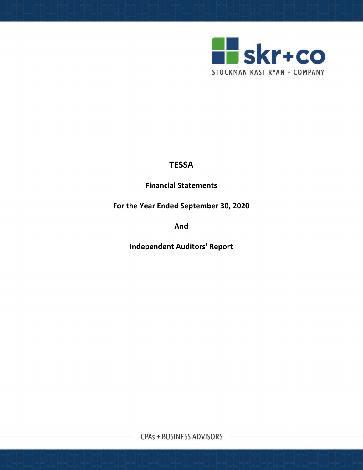

# **Financial Statements**

# **For the Year Ended September 30, 2020**

**And**

**Independent Auditors' Report**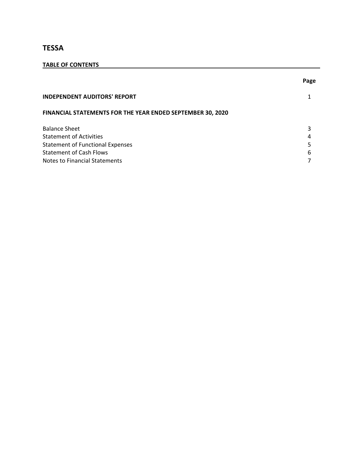## **TABLE OF CONTENTS**

| INDEPENDENT AUDITORS' REPORT                               |   |
|------------------------------------------------------------|---|
| FINANCIAL STATEMENTS FOR THE YEAR ENDED SEPTEMBER 30, 2020 |   |
| <b>Balance Sheet</b>                                       | 3 |
| <b>Statement of Activities</b>                             | 4 |
| <b>Statement of Functional Expenses</b>                    | 5 |
| <b>Statement of Cash Flows</b>                             | 6 |
| <b>Notes to Financial Statements</b>                       |   |
|                                                            |   |

**Page**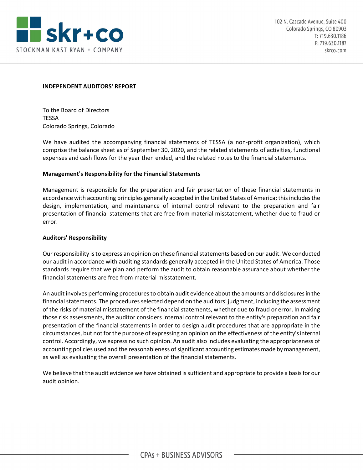

### **INDEPENDENT AUDITORS' REPORT**

To the Board of Directors TESSA Colorado Springs, Colorado

We have audited the accompanying financial statements of TESSA (a non-profit organization), which comprise the balance sheet as of September 30, 2020, and the related statements of activities, functional expenses and cash flows for the year then ended, and the related notes to the financial statements.

### **Management's Responsibility for the Financial Statements**

Management is responsible for the preparation and fair presentation of these financial statements in accordance with accounting principles generally accepted in the United States of America; this includes the design, implementation, and maintenance of internal control relevant to the preparation and fair presentation of financial statements that are free from material misstatement, whether due to fraud or error.

### **Auditors' Responsibility**

Our responsibility is to express an opinion on these financial statements based on our audit. We conducted our audit in accordance with auditing standards generally accepted in the United States of America. Those standards require that we plan and perform the audit to obtain reasonable assurance about whether the financial statements are free from material misstatement.

An audit involves performing procedures to obtain audit evidence about the amounts and disclosures in the financial statements. The procedures selected depend on the auditors' judgment, including the assessment of the risks of material misstatement of the financial statements, whether due to fraud or error. In making those risk assessments, the auditor considers internal control relevant to the entity's preparation and fair presentation of the financial statements in order to design audit procedures that are appropriate in the circumstances, but not for the purpose of expressing an opinion on the effectiveness of the entity's internal control. Accordingly, we express no such opinion. An audit also includes evaluating the appropriateness of accounting policies used and the reasonableness of significant accounting estimates made by management, as well as evaluating the overall presentation of the financial statements.

We believe that the audit evidence we have obtained is sufficient and appropriate to provide a basis for our audit opinion.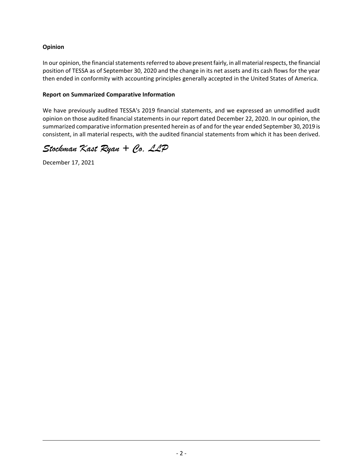# **Opinion**

In our opinion, the financial statements referred to above present fairly, in all material respects, the financial position of TESSA as of September 30, 2020 and the change in its net assets and its cash flows for the year then ended in conformity with accounting principles generally accepted in the United States of America.

# **Report on Summarized Comparative Information**

We have previously audited TESSA's 2019 financial statements, and we expressed an unmodified audit opinion on those audited financial statements in our report dated December 22, 2020. In our opinion, the summarized comparative information presented herein as of and for the year ended September 30, 2019 is consistent, in all material respects, with the audited financial statements from which it has been derived.

*Stockman Kast Ryan + Co, LLP*

December 17, 2021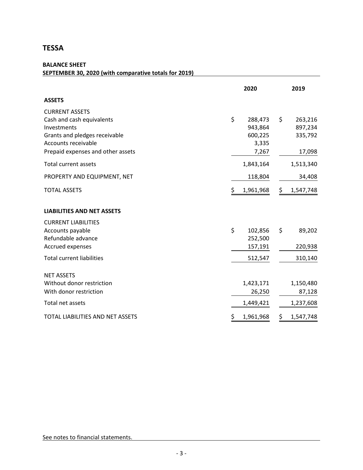## **BALANCE SHEET SEPTEMBER 30, 2020 (with comparative totals for 2019)**

|                                                                                                                                                                | 2020                                                  | 2019                                          |
|----------------------------------------------------------------------------------------------------------------------------------------------------------------|-------------------------------------------------------|-----------------------------------------------|
| <b>ASSETS</b>                                                                                                                                                  |                                                       |                                               |
| <b>CURRENT ASSETS</b><br>Cash and cash equivalents<br>Investments<br>Grants and pledges receivable<br>Accounts receivable<br>Prepaid expenses and other assets | \$<br>288,473<br>943,864<br>600,225<br>3,335<br>7,267 | \$<br>263,216<br>897,234<br>335,792<br>17,098 |
| Total current assets                                                                                                                                           | 1,843,164                                             | 1,513,340                                     |
| PROPERTY AND EQUIPMENT, NET                                                                                                                                    | 118,804                                               | 34,408                                        |
| <b>TOTAL ASSETS</b>                                                                                                                                            | \$.<br>1,961,968                                      | \$.<br>1,547,748                              |
| <b>LIABILITIES AND NET ASSETS</b>                                                                                                                              |                                                       |                                               |
| <b>CURRENT LIABILITIES</b><br>Accounts payable<br>Refundable advance<br>Accrued expenses                                                                       | \$<br>102,856<br>252,500<br>157,191                   | \$<br>89,202<br>220,938                       |
| <b>Total current liabilities</b>                                                                                                                               | 512,547                                               | 310,140                                       |
| <b>NET ASSETS</b><br>Without donor restriction<br>With donor restriction<br>Total net assets                                                                   | 1,423,171<br>26,250<br>1,449,421                      | 1,150,480<br>87,128<br>1,237,608              |
| TOTAL LIABILITIES AND NET ASSETS                                                                                                                               | \$<br>1,961,968                                       | \$.<br>1,547,748                              |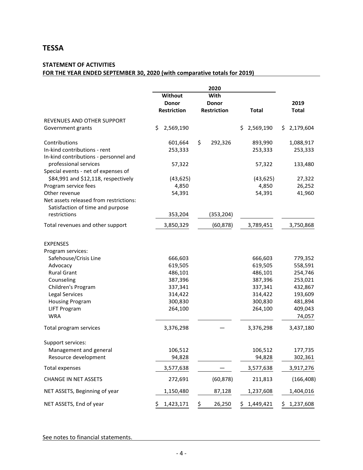### **STATEMENT OF ACTIVITIES FOR THE YEAR ENDED SEPTEMBER 30, 2020 (with comparative totals for 2019)**

|                                                                            |                    | 2020               |                 |                  |
|----------------------------------------------------------------------------|--------------------|--------------------|-----------------|------------------|
|                                                                            | Without            | With               |                 |                  |
|                                                                            | <b>Donor</b>       | <b>Donor</b>       |                 | 2019             |
|                                                                            | <b>Restriction</b> | <b>Restriction</b> | <b>Total</b>    | <b>Total</b>     |
| <b>REVENUES AND OTHER SUPPORT</b>                                          |                    |                    |                 |                  |
| Government grants                                                          | \$<br>2,569,190    |                    | \$<br>2,569,190 | 2,179,604<br>\$. |
| Contributions                                                              | 601,664            | \$<br>292,326      | 893,990         | 1,088,917        |
| In-kind contributions - rent<br>In-kind contributions - personnel and      | 253,333            |                    | 253,333         | 253,333          |
| professional services<br>Special events - net of expenses of               | 57,322             |                    | 57,322          | 133,480          |
| \$84,991 and \$12,118, respectively                                        | (43, 625)          |                    | (43, 625)       | 27,322           |
| Program service fees                                                       | 4,850              |                    | 4,850           | 26,252           |
| Other revenue                                                              | 54,391             |                    | 54,391          | 41,960           |
| Net assets released from restrictions:<br>Satisfaction of time and purpose |                    |                    |                 |                  |
| restrictions                                                               | 353,204            | (353, 204)         |                 |                  |
| Total revenues and other support                                           | 3,850,329          | (60, 878)          | 3,789,451       | 3,750,868        |
| <b>EXPENSES</b>                                                            |                    |                    |                 |                  |
| Program services:                                                          |                    |                    |                 |                  |
| Safehouse/Crisis Line                                                      | 666,603            |                    | 666,603         | 779,352          |
| Advocacy                                                                   | 619,505            |                    | 619,505         | 558,591          |
| <b>Rural Grant</b>                                                         | 486,101            |                    | 486,101         | 254,746          |
| Counseling                                                                 | 387,396            |                    | 387,396         | 253,021          |
| Children's Program                                                         | 337,341            |                    | 337,341         | 432,867          |
| <b>Legal Services</b>                                                      | 314,422            |                    | 314,422         | 193,609          |
| <b>Housing Program</b>                                                     | 300,830            |                    | 300,830         | 481,894          |
| <b>LIFT Program</b>                                                        | 264,100            |                    | 264,100         | 409,043          |
| <b>WRA</b>                                                                 |                    |                    |                 | 74,057           |
| Total program services                                                     | 3,376,298          |                    | 3,376,298       | 3,437,180        |
| Support services:                                                          |                    |                    |                 |                  |
| Management and general                                                     | 106,512            |                    | 106,512         | 177,735          |
| Resource development                                                       | 94,828             |                    | 94,828          | 302,361          |
| <b>Total expenses</b>                                                      | 3,577,638          |                    | 3,577,638       | 3,917,276        |
| <b>CHANGE IN NET ASSETS</b>                                                | 272,691            | (60, 878)          | 211,813         | (166, 408)       |
| NET ASSETS, Beginning of year                                              | 1,150,480          | 87,128             | 1,237,608       | 1,404,016        |
| NET ASSETS, End of year                                                    | \$1,423,171        | \$<br>26,250       | \$1,449,421     | \$1,237,608      |

See notes to financial statements.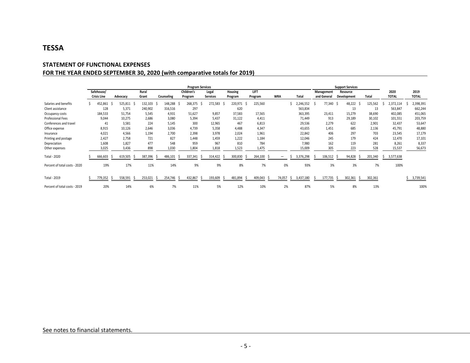# **STATEMENT OF FUNCTIONAL EXPENSES FOR THE YEAR ENDED SEPTEMBER 30, 2020 (with comparative totals for 2019)**

|                               |                    |               |         |                |    | <b>Program Services</b> |                 |                                                                                                                                                                                                                                          |                |                          |              |               |    | <b>Support Services</b> |         |                 |              |
|-------------------------------|--------------------|---------------|---------|----------------|----|-------------------------|-----------------|------------------------------------------------------------------------------------------------------------------------------------------------------------------------------------------------------------------------------------------|----------------|--------------------------|--------------|---------------|----|-------------------------|---------|-----------------|--------------|
|                               | Safehouse/         |               | Rural   |                |    | Children's              | Legal           | Housing                                                                                                                                                                                                                                  | LIFT           |                          |              | Management    |    | Resource                |         | 2020            | 2019         |
|                               | <b>Crisis Line</b> | Advocacy      | Grant   | Counseling     |    | Program                 | <b>Services</b> | Program                                                                                                                                                                                                                                  | Program        | <b>WRA</b>               | <b>Total</b> | and General   |    | Development             | Total   | <b>TOTAL</b>    | <b>TOTAL</b> |
| Salaries and benefits         | 452,861<br>-S      | 525,811       | 132,103 | 148,288        |    | 268,375                 | 272,583         | 220,971<br>- 5                                                                                                                                                                                                                           | 225,560        |                          | 2,246,552    | 77,340        | -S | 48,222<br>Ŀ.            | 125,562 | 2,372,114       | 2,398,391    |
| Client assistance             | 128                | 5,371         | 240,902 | 316,516        |    | 297                     |                 | 620                                                                                                                                                                                                                                      |                |                          | 563,834      |               |    | 13                      | 13      | 563,847         | 662,244      |
| Occupancy costs               | 184,533            | 51,754        | 5,545   | 4,931          |    | 51,627                  | 9.857           | 37,583                                                                                                                                                                                                                                   | 17,565         |                          | 363,395      | 23,411        |    | 15,279                  | 38,690  | 402,085         | 451,065      |
| <b>Professional Fees</b>      | 9,044              | 10,275        | 2,686   | 3,080          |    | 5.394                   | 5.437           | 31,122                                                                                                                                                                                                                                   | 4,411          |                          | 71,449       | 913           |    | 29,189                  | 30,102  | 101,551         | 203,759      |
| Conferences and travel        | 41                 | 3,581         | 224     | 5,145          |    | 300                     | 12,965          | 467                                                                                                                                                                                                                                      | 6,813          |                          | 29,536       | 2.279         |    | 622                     | 2,901   | 32,437          | 53,647       |
| Office expense                | 8,915              | 10,126        | 2,646   | 3,036          |    | 4,739                   | 5,358           | 4,488                                                                                                                                                                                                                                    | 4,347          |                          | 43,655       | 1,451         |    | 685                     | 2,136   | 45,791          | 48,880       |
| Insurance                     | 4,021              | 4,566         | 1,194   | 2,700          |    | 2,398                   | 3.978           | 2,024                                                                                                                                                                                                                                    | 1,961          |                          | 22,842       | 406           |    | 297                     | 703     | 23,545          | 17,179       |
| Printing and postage          | 2,427              | 2,758         | 721     | 827            |    | 1.448                   | 1,459           | 1,222                                                                                                                                                                                                                                    | 1,184          |                          | 12,046       | 245           |    | 179                     | 424     | 12,470          | 17,101       |
| Depreciation                  | 1,608              | 1,827         | 477     | 548            |    | 959                     | 967             | 810                                                                                                                                                                                                                                      | 784            |                          | 7,980        | 162           |    | 119                     | 281     | 8,261           | 8,337        |
| Other expenses                | 3,025              | 3.436         | 898     | 1,030          |    | 1.804                   | 1,818           | 1.523                                                                                                                                                                                                                                    | 1,475          |                          | 15,009       | 305           |    | 223                     | 528     | 15,537          | 56,673       |
| Total - 2020                  | 666,603            | 619,505<br>'N | 387,396 | 486,101        |    | 337,341                 | 314,422         | 300,830<br>n and the second the second the second term in the second term in the second term in the second term in the second term in the second term in the second term in the second term in the second term in the second term in the | 264,100<br>- 5 | $\overline{\phantom{0}}$ | 3,376,298    | 106,512       |    | 94,828<br>-5            | 201,340 | 3,577,638<br>S. |              |
| Percent of total costs - 2020 | 19%                | 17%           | 11%     | 14%            |    | 9%                      | 9%              | 8%                                                                                                                                                                                                                                       | 7%             | 0%                       | 93%          | 3%            |    | 3%                      | 7%      | 100%            |              |
| Total - 2019                  | 779,352            | 558,591<br>-S | 253,021 | 254,746<br>- 5 | -S | 432,867<br>n s          | 193,609         | 481,894                                                                                                                                                                                                                                  | 409,043 \$     | 74,057<br>-S             | 3,437,180    | 177,735<br>-5 | -S | 302,361<br>- S          | 302,361 |                 | 3,739,541    |
| Percent of total costs - 2019 | 20%                | 14%           | 6%      | 7%             |    | 11%                     | 5%              | 12%                                                                                                                                                                                                                                      | 10%            | 2%                       | 87%          | 5%            |    | 8%                      | 13%     |                 | 100%         |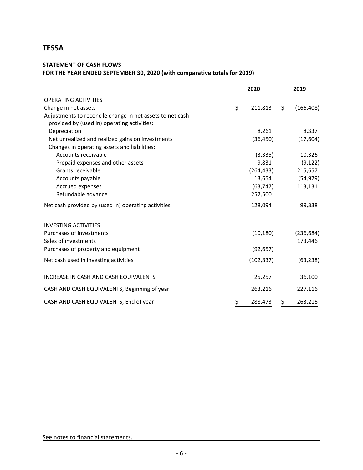### **STATEMENT OF CASH FLOWS**

**FOR THE YEAR ENDED SEPTEMBER 30, 2020 (with comparative totals for 2019)**

|                                                                                                          | 2020          | 2019             |
|----------------------------------------------------------------------------------------------------------|---------------|------------------|
| <b>OPERATING ACTIVITIES</b>                                                                              |               |                  |
| Change in net assets                                                                                     | \$<br>211,813 | \$<br>(166, 408) |
| Adjustments to reconcile change in net assets to net cash<br>provided by (used in) operating activities: |               |                  |
| Depreciation                                                                                             | 8,261         | 8,337            |
| Net unrealized and realized gains on investments                                                         | (36, 450)     | (17,604)         |
| Changes in operating assets and liabilities:                                                             |               |                  |
| Accounts receivable                                                                                      | (3, 335)      | 10,326           |
| Prepaid expenses and other assets                                                                        | 9,831         | (9, 122)         |
| Grants receivable                                                                                        | (264, 433)    | 215,657          |
| Accounts payable                                                                                         | 13,654        | (54, 979)        |
| Accrued expenses                                                                                         | (63, 747)     | 113,131          |
| Refundable advance                                                                                       | 252,500       |                  |
| Net cash provided by (used in) operating activities                                                      | 128,094       | 99,338           |
| <b>INVESTING ACTIVITIES</b>                                                                              |               |                  |
| Purchases of investments                                                                                 | (10, 180)     | (236, 684)       |
| Sales of investments                                                                                     |               | 173,446          |
| Purchases of property and equipment                                                                      | (92, 657)     |                  |
| Net cash used in investing activities                                                                    | (102, 837)    | (63, 238)        |
| INCREASE IN CASH AND CASH EQUIVALENTS                                                                    | 25,257        | 36,100           |
| CASH AND CASH EQUIVALENTS, Beginning of year                                                             | 263,216       | 227,116          |
| CASH AND CASH EQUIVALENTS, End of year                                                                   | \$<br>288,473 | \$<br>263,216    |

See notes to financial statements.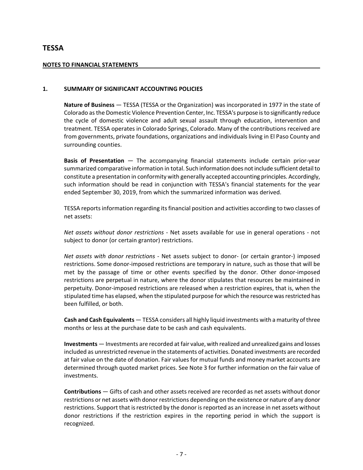### **NOTES TO FINANCIAL STATEMENTS**

### **1. SUMMARY OF SIGNIFICANT ACCOUNTING POLICIES**

**Nature of Business** — TESSA (TESSA or the Organization) was incorporated in 1977 in the state of Colorado as the Domestic Violence Prevention Center, Inc. TESSA's purpose is to significantly reduce the cycle of domestic violence and adult sexual assault through education, intervention and treatment. TESSA operates in Colorado Springs, Colorado. Many of the contributions received are from governments, private foundations, organizations and individuals living in El Paso County and surrounding counties.

**Basis of Presentation** — The accompanying financial statements include certain prior-year summarized comparative information in total. Such information does not include sufficient detail to constitute a presentation in conformity with generally accepted accounting principles. Accordingly, such information should be read in conjunction with TESSA's financial statements for the year ended September 30, 2019, from which the summarized information was derived.

TESSA reports information regarding its financial position and activities according to two classes of net assets:

*Net assets without donor restrictions* - Net assets available for use in general operations - not subject to donor (or certain grantor) restrictions.

*Net assets with donor restrictions* - Net assets subject to donor- (or certain grantor-) imposed restrictions. Some donor-imposed restrictions are temporary in nature, such as those that will be met by the passage of time or other events specified by the donor. Other donor-imposed restrictions are perpetual in nature, where the donor stipulates that resources be maintained in perpetuity. Donor-imposed restrictions are released when a restriction expires, that is, when the stipulated time has elapsed, when the stipulated purpose for which the resource was restricted has been fulfilled, or both.

**Cash and Cash Equivalents** — TESSA considers all highly liquid investments with a maturity of three months or less at the purchase date to be cash and cash equivalents.

**Investments** — Investments are recorded at fair value, with realized and unrealized gains and losses included as unrestricted revenue in the statements of activities. Donated investments are recorded at fair value on the date of donation. Fair values for mutual funds and money market accounts are determined through quoted market prices. See Note 3 for further information on the fair value of investments.

**Contributions** — Gifts of cash and other assets received are recorded as net assets without donor restrictions or net assets with donor restrictions depending on the existence or nature of any donor restrictions. Support that is restricted by the donor is reported as an increase in net assets without donor restrictions if the restriction expires in the reporting period in which the support is recognized.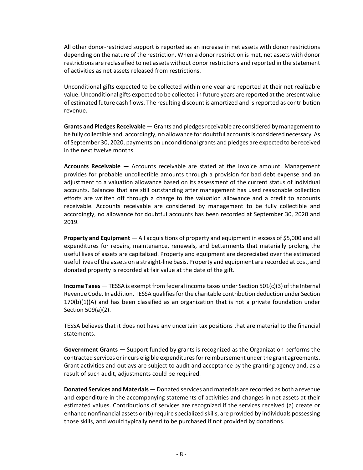All other donor-restricted support is reported as an increase in net assets with donor restrictions depending on the nature of the restriction. When a donor restriction is met, net assets with donor restrictions are reclassified to net assets without donor restrictions and reported in the statement of activities as net assets released from restrictions.

Unconditional gifts expected to be collected within one year are reported at their net realizable value. Unconditional gifts expected to be collected in future years are reported at the present value of estimated future cash flows. The resulting discount is amortized and is reported as contribution revenue.

**Grants and Pledges Receivable** — Grants and pledges receivable are considered by management to be fully collectible and, accordingly, no allowance for doubtful accounts is considered necessary. As of September 30, 2020, payments on unconditional grants and pledges are expected to be received in the next twelve months.

**Accounts Receivable** — Accounts receivable are stated at the invoice amount. Management provides for probable uncollectible amounts through a provision for bad debt expense and an adjustment to a valuation allowance based on its assessment of the current status of individual accounts. Balances that are still outstanding after management has used reasonable collection efforts are written off through a charge to the valuation allowance and a credit to accounts receivable. Accounts receivable are considered by management to be fully collectible and accordingly, no allowance for doubtful accounts has been recorded at September 30, 2020 and 2019.

**Property and Equipment** — All acquisitions of property and equipment in excess of \$5,000 and all expenditures for repairs, maintenance, renewals, and betterments that materially prolong the useful lives of assets are capitalized. Property and equipment are depreciated over the estimated useful lives of the assets on a straight-line basis. Property and equipment are recorded at cost, and donated property is recorded at fair value at the date of the gift.

**Income Taxes** — TESSA is exempt from federal income taxes under Section 501(c)(3) of the Internal Revenue Code. In addition, TESSA qualifies for the charitable contribution deduction under Section  $170(b)(1)(A)$  and has been classified as an organization that is not a private foundation under Section 509(a)(2).

TESSA believes that it does not have any uncertain tax positions that are material to the financial statements.

**Government Grants —** Support funded by grants is recognized as the Organization performs the contracted services or incurs eligible expenditures for reimbursement under the grant agreements. Grant activities and outlays are subject to audit and acceptance by the granting agency and, as a result of such audit, adjustments could be required.

**Donated Services and Materials** — Donated services and materials are recorded as both a revenue and expenditure in the accompanying statements of activities and changes in net assets at their estimated values. Contributions of services are recognized if the services received (a) create or enhance nonfinancial assets or (b) require specialized skills, are provided by individuals possessing those skills, and would typically need to be purchased if not provided by donations.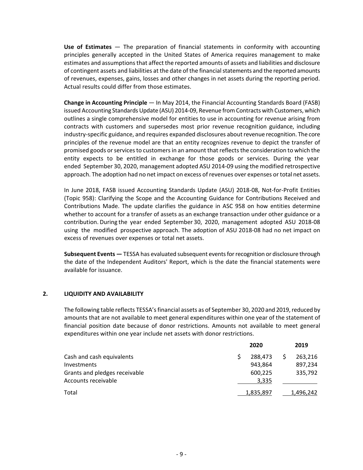**Use of Estimates** — The preparation of financial statements in conformity with accounting principles generally accepted in the United States of America requires management to make estimates and assumptions that affect the reported amounts of assets and liabilities and disclosure of contingent assets and liabilities at the date of the financial statements and the reported amounts of revenues, expenses, gains, losses and other changes in net assets during the reporting period. Actual results could differ from those estimates.

**Change in Accounting Principle** — In May 2014, the Financial Accounting Standards Board (FASB) issued Accounting Standards Update (ASU) 2014-09, Revenue from Contracts with Customers, which outlines a single comprehensive model for entities to use in accounting for revenue arising from contracts with customers and supersedes most prior revenue recognition guidance, including industry-specific guidance, and requires expanded disclosures about revenue recognition. The core principles of the revenue model are that an entity recognizes revenue to depict the transfer of promised goods or services to customers in an amount that reflects the consideration to which the entity expects to be entitled in exchange for those goods or services. During the year ended September 30, 2020, management adopted ASU 2014-09 using the modified retrospective approach. The adoption had no net impact on excess of revenues over expenses or total net assets.

In June 2018, FASB issued Accounting Standards Update (ASU) 2018-08, Not-for-Profit Entities (Topic 958): Clarifying the Scope and the Accounting Guidance for Contributions Received and Contributions Made. The update clarifies the guidance in ASC 958 on how entities determine whether to account for a transfer of assets as an exchange transaction under other guidance or a contribution. During the year ended September 30, 2020, management adopted ASU 2018-08 using the modified prospective approach. The adoption of ASU 2018-08 had no net impact on excess of revenues over expenses or total net assets.

**Subsequent Events —** TESSA has evaluated subsequent events for recognition or disclosure through the date of the Independent Auditors' Report, which is the date the financial statements were available for issuance.

# **2. LIQUIDITY AND AVAILABILITY**

The following table reflects TESSA's financial assets as of September 30, 2020 and 2019, reduced by amounts that are not available to meet general expenditures within one year of the statement of financial position date because of donor restrictions. Amounts not available to meet general expenditures within one year include net assets with donor restrictions.

|                               | 2020      | 2019      |
|-------------------------------|-----------|-----------|
| Cash and cash equivalents     | 288,473   | 263,216   |
| Investments                   | 943.864   | 897,234   |
| Grants and pledges receivable | 600,225   | 335,792   |
| Accounts receivable           | 3.335     |           |
| Total                         | 1.835.897 | 1.496.242 |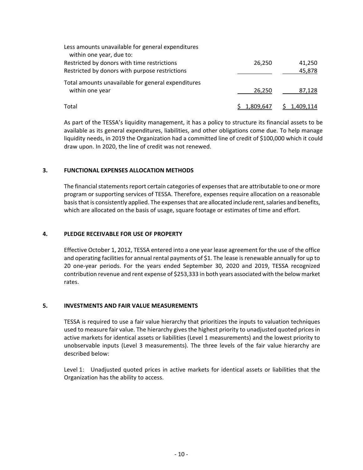| Less amounts unavailable for general expenditures<br>within one year, due to:                 |             |                    |
|-----------------------------------------------------------------------------------------------|-------------|--------------------|
| Restricted by donors with time restrictions<br>Restricted by donors with purpose restrictions | 26,250      | 41.250<br>45,878   |
| Total amounts unavailable for general expenditures<br>within one year                         | 26,250      | 87,128             |
| Total                                                                                         | \$1,809,647 | <u>\$1,409,114</u> |

As part of the TESSA's liquidity management, it has a policy to structure its financial assets to be available as its general expenditures, liabilities, and other obligations come due. To help manage liquidity needs, in 2019 the Organization had a committed line of credit of \$100,000 which it could draw upon. In 2020, the line of credit was not renewed.

### **3. FUNCTIONAL EXPENSES ALLOCATION METHODS**

The financial statements report certain categories of expenses that are attributable to one ormore program or supporting services of TESSA. Therefore, expenses require allocation on a reasonable basis that is consistently applied. The expenses that are allocated include rent, salaries and benefits, which are allocated on the basis of usage, square footage or estimates of time and effort.

### **4. PLEDGE RECEIVABLE FOR USE OF PROPERTY**

Effective October 1, 2012, TESSA entered into a one year lease agreement for the use of the office and operating facilities for annual rental payments of \$1. The lease is renewable annually for up to 20 one-year periods. For the years ended September 30, 2020 and 2019, TESSA recognized contribution revenue and rent expense of \$253,333 in both years associated with the below market rates.

#### **5. INVESTMENTS AND FAIR VALUE MEASUREMENTS**

TESSA is required to use a fair value hierarchy that prioritizes the inputs to valuation techniques used to measure fair value. The hierarchy gives the highest priority to unadjusted quoted prices in active markets for identical assets or liabilities (Level 1 measurements) and the lowest priority to unobservable inputs (Level 3 measurements). The three levels of the fair value hierarchy are described below:

Level 1: Unadjusted quoted prices in active markets for identical assets or liabilities that the Organization has the ability to access.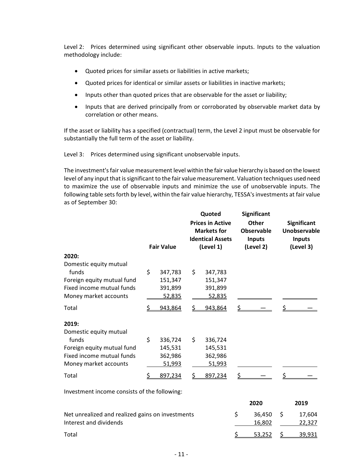Level 2: Prices determined using significant other observable inputs. Inputs to the valuation methodology include:

- Quoted prices for similar assets or liabilities in active markets;
- Quoted prices for identical or similar assets or liabilities in inactive markets;
- Inputs other than quoted prices that are observable for the asset or liability;
- Inputs that are derived principally from or corroborated by observable market data by correlation or other means.

If the asset or liability has a specified (contractual) term, the Level 2 input must be observable for substantially the full term of the asset or liability.

Level 3: Prices determined using significant unobservable inputs.

The investment's fair value measurement level within the fair value hierarchy is based on the lowest level of any input that is significant to the fair value measurement. Valuation techniques used need to maximize the use of observable inputs and minimize the use of unobservable inputs. The following table sets forth by level, within the fair value hierarchy, TESSA's investments at fair value as of September 30:

| (Level 1)<br>(Level 2)<br><b>Fair Value</b><br>(Level 3)<br>2020:<br>Domestic equity mutual<br>\$<br>\$<br>funds<br>347,783<br>347,783<br>Foreign equity mutual fund<br>151,347<br>151,347<br>Fixed income mutual funds<br>391,899<br>391,899<br>Money market accounts<br>52,835<br>52,835<br>\$<br>943,864<br>943,864<br>Total<br>2019:<br>Domestic equity mutual<br>\$<br>\$<br>funds<br>336,724<br>336,724<br>Foreign equity mutual fund<br>145,531<br>145,531<br>Fixed income mutual funds<br>362,986<br>362,986<br>Money market accounts<br>51,993<br><u>51,993</u><br>Total<br>897,234<br>897,234 |  |  | Quoted<br><b>Prices in Active</b><br><b>Markets for</b><br><b>Identical Assets</b> | <b>Significant</b><br><b>Other</b><br><b>Observable</b><br><b>Inputs</b> | <b>Significant</b><br>Unobservable<br><b>Inputs</b> |
|---------------------------------------------------------------------------------------------------------------------------------------------------------------------------------------------------------------------------------------------------------------------------------------------------------------------------------------------------------------------------------------------------------------------------------------------------------------------------------------------------------------------------------------------------------------------------------------------------------|--|--|------------------------------------------------------------------------------------|--------------------------------------------------------------------------|-----------------------------------------------------|
|                                                                                                                                                                                                                                                                                                                                                                                                                                                                                                                                                                                                         |  |  |                                                                                    |                                                                          |                                                     |
|                                                                                                                                                                                                                                                                                                                                                                                                                                                                                                                                                                                                         |  |  |                                                                                    |                                                                          |                                                     |
|                                                                                                                                                                                                                                                                                                                                                                                                                                                                                                                                                                                                         |  |  |                                                                                    |                                                                          |                                                     |
|                                                                                                                                                                                                                                                                                                                                                                                                                                                                                                                                                                                                         |  |  |                                                                                    |                                                                          |                                                     |
|                                                                                                                                                                                                                                                                                                                                                                                                                                                                                                                                                                                                         |  |  |                                                                                    |                                                                          |                                                     |

Investment income consists of the following:

|                                                  | 2020      | 2019     |
|--------------------------------------------------|-----------|----------|
| Net unrealized and realized gains on investments | 36.450 S  | 17.604   |
| Interest and dividends                           | 16.802    | 22,327   |
| Total                                            | 53,252 \$ | - 39,931 |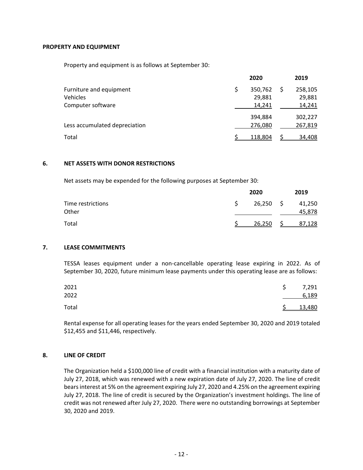### **PROPERTY AND EQUIPMENT**

Property and equipment is as follows at September 30:

|                               | 2020    |   | 2019    |
|-------------------------------|---------|---|---------|
| Furniture and equipment       | 350,762 | S | 258,105 |
| Vehicles                      | 29,881  |   | 29,881  |
| Computer software             | 14,241  |   | 14,241  |
|                               | 394,884 |   | 302,227 |
| Less accumulated depreciation | 276,080 |   | 267,819 |
| Total                         | 118.804 |   | 34,408  |

### **6. NET ASSETS WITH DONOR RESTRICTIONS**

Net assets may be expended for the following purposes at September 30:

|                   | 2020      | 2019                  |
|-------------------|-----------|-----------------------|
| Time restrictions | 26,250 \$ | 41,250                |
| Other             |           | 45,878                |
| Total             |           | $26,250 \quad $2,128$ |

#### **7. LEASE COMMITMENTS**

TESSA leases equipment under a non-cancellable operating lease expiring in 2022. As of September 30, 2020, future minimum lease payments under this operating lease are as follows:

| 2021  | S. | 7,291                |
|-------|----|----------------------|
| 2022  |    | 6,189                |
| Total |    | $\frac{2}{5}$ 13,480 |

Rental expense for all operating leases for the years ended September 30, 2020 and 2019 totaled \$12,455 and \$11,446, respectively.

#### **8. LINE OF CREDIT**

The Organization held a \$100,000 line of credit with a financial institution with a maturity date of July 27, 2018, which was renewed with a new expiration date of July 27, 2020. The line of credit bears interest at 5% on the agreement expiring July 27, 2020 and 4.25% on the agreement expiring July 27, 2018. The line of credit is secured by the Organization's investment holdings. The line of credit was not renewed after July 27, 2020. There were no outstanding borrowings at September 30, 2020 and 2019.